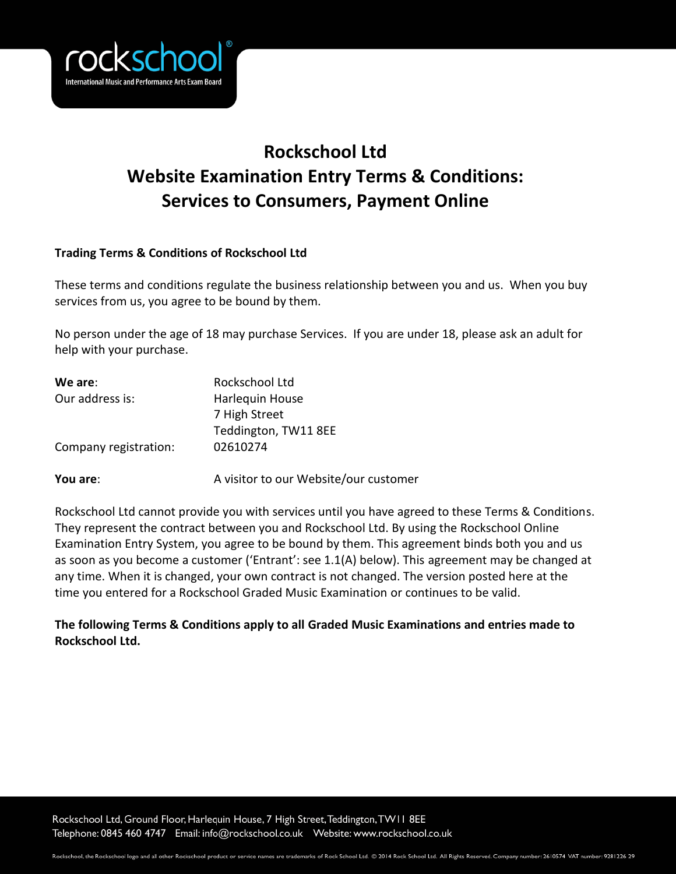

# **Rockschool Ltd Website Examination Entry Terms & Conditions: Services to Consumers, Payment Online**

## **Trading Terms & Conditions of Rockschool Ltd**

These terms and conditions regulate the business relationship between you and us. When you buy services from us, you agree to be bound by them.

No person under the age of 18 may purchase Services. If you are under 18, please ask an adult for help with your purchase.

| We are:               | Rockschool Ltd                        |  |  |
|-----------------------|---------------------------------------|--|--|
| Our address is:       | Harlequin House                       |  |  |
|                       | 7 High Street                         |  |  |
|                       | Teddington, TW11 8EE                  |  |  |
| Company registration: | 02610274                              |  |  |
| You are:              | A visitor to our Website/our customer |  |  |

Rockschool Ltd cannot provide you with services until you have agreed to these Terms & Conditions. They represent the contract between you and Rockschool Ltd. By using the Rockschool Online Examination Entry System, you agree to be bound by them. This agreement binds both you and us as soon as you become a customer ('Entrant': see 1.1(A) below). This agreement may be changed at any time. When it is changed, your own contract is not changed. The version posted here at the time you entered for a Rockschool Graded Music Examination or continues to be valid.

# **The following Terms & Conditions apply to all Graded Music Examinations and entries made to Rockschool Ltd.**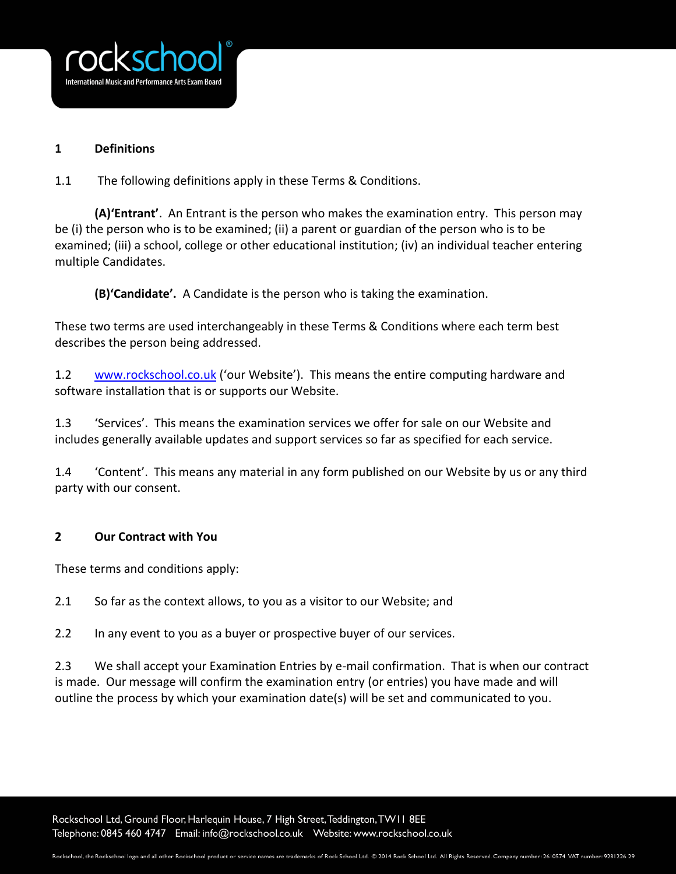

## **1 Definitions**

1.1 The following definitions apply in these Terms & Conditions.

**(A)'Entrant'**. An Entrant is the person who makes the examination entry. This person may be (i) the person who is to be examined; (ii) a parent or guardian of the person who is to be examined; (iii) a school, college or other educational institution; (iv) an individual teacher entering multiple Candidates.

**(B)'Candidate'.** A Candidate is the person who is taking the examination.

These two terms are used interchangeably in these Terms & Conditions where each term best describes the person being addressed.

1.2 [www.rockschool.co.uk](http://www.rockschool.co.uk/) ('our Website'). This means the entire computing hardware and software installation that is or supports our Website.

1.3 'Services'. This means the examination services we offer for sale on our Website and includes generally available updates and support services so far as specified for each service.

1.4 'Content'. This means any material in any form published on our Website by us or any third party with our consent.

# **2 Our Contract with You**

These terms and conditions apply:

2.1 So far as the context allows, to you as a visitor to our Website; and

2.2 In any event to you as a buyer or prospective buyer of our services.

2.3 We shall accept your Examination Entries by e-mail confirmation. That is when our contract is made. Our message will confirm the examination entry (or entries) you have made and will outline the process by which your examination date(s) will be set and communicated to you.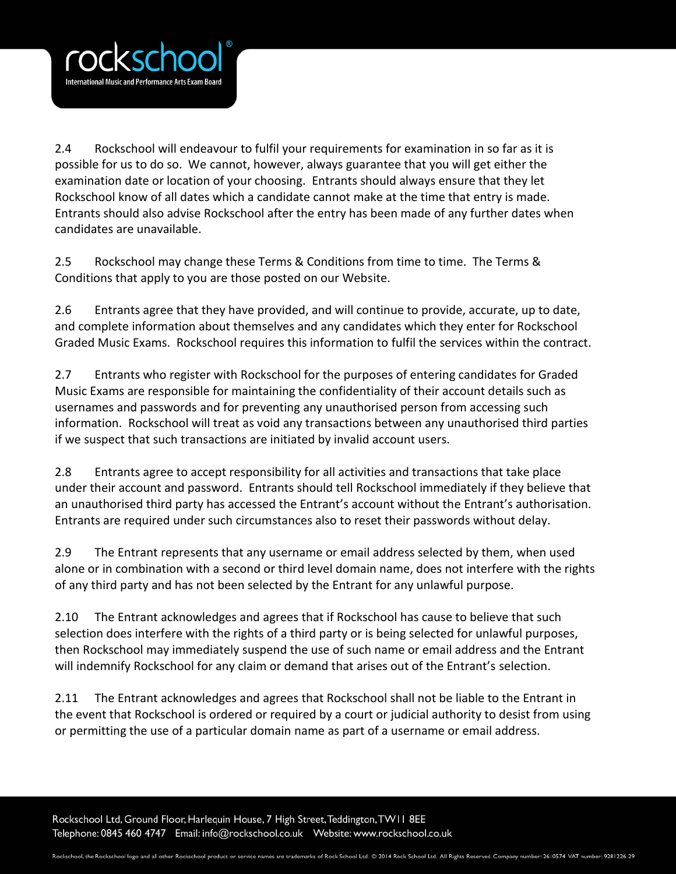

2.4 Rockschool will endeavour to fulfil your requirements for examination in so far as it is possible for us to do so. We cannot, however, always guarantee that you will get either the examination date or location of your choosing. Entrants should always ensure that they let Rockschool know of all dates which a candidate cannot make at the time that entry is made. Entrants should also advise Rockschool after the entry has been made of any further dates when candidates are unavailable.

2.5 Rockschool may change these Terms & Conditions from time to time. The Terms & Conditions that apply to you are those posted on our Website.

2.6 Entrants agree that they have provided, and will continue to provide, accurate, up to date, and complete information about themselves and any candidates which they enter for Rockschool Graded Music Exams. Rockschool requires this information to fulfil the services within the contract.

2.7 Entrants who register with Rockschool for the purposes of entering candidates for Graded Music Exams are responsible for maintaining the confidentiality of their account details such as usernames and passwords and for preventing any unauthorised person from accessing such information. Rockschool will treat as void any transactions between any unauthorised third parties if we suspect that such transactions are initiated by invalid account users.

2.8 Entrants agree to accept responsibility for all activities and transactions that take place under their account and password. Entrants should tell Rockschool immediately if they believe that an unauthorised third party has accessed the Entrant's account without the Entrant's authorisation. Entrants are required under such circumstances also to reset their passwords without delay.

2.9 The Entrant represents that any username or email address selected by them, when used alone or in combination with a second or third level domain name, does not interfere with the rights of any third party and has not been selected by the Entrant for any unlawful purpose.

2.10 The Entrant acknowledges and agrees that if Rockschool has cause to believe that such selection does interfere with the rights of a third party or is being selected for unlawful purposes, then Rockschool may immediately suspend the use of such name or email address and the Entrant will indemnify Rockschool for any claim or demand that arises out of the Entrant's selection.

2.11 The Entrant acknowledges and agrees that Rockschool shall not be liable to the Entrant in the event that Rockschool is ordered or required by a court or judicial authority to desist from using or permitting the use of a particular domain name as part of a username or email address.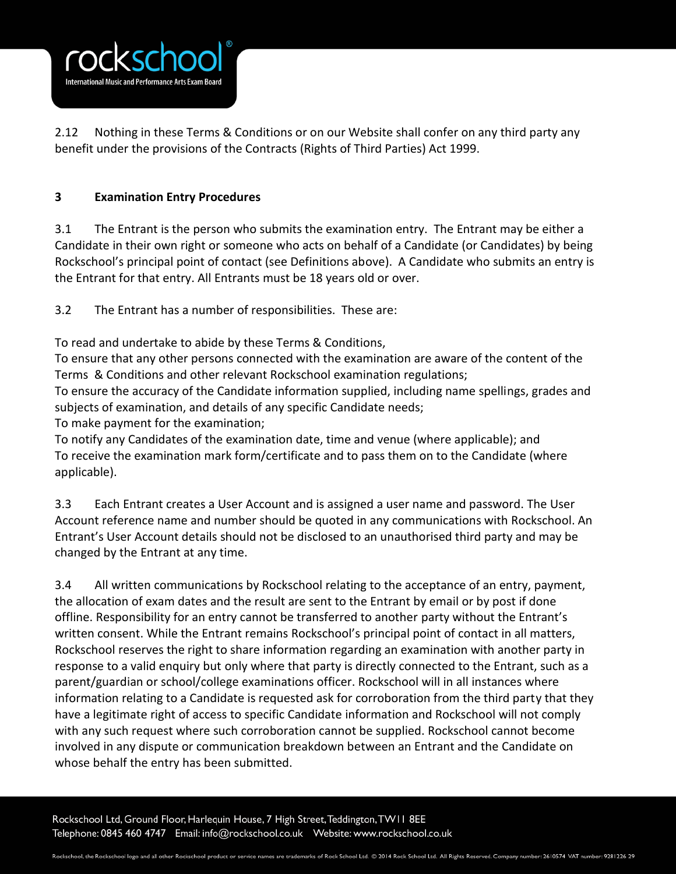

2.12 Nothing in these Terms & Conditions or on our Website shall confer on any third party any benefit under the provisions of the Contracts (Rights of Third Parties) Act 1999.

# **3 Examination Entry Procedures**

3.1 The Entrant is the person who submits the examination entry. The Entrant may be either a Candidate in their own right or someone who acts on behalf of a Candidate (or Candidates) by being Rockschool's principal point of contact (see Definitions above). A Candidate who submits an entry is the Entrant for that entry. All Entrants must be 18 years old or over.

3.2 The Entrant has a number of responsibilities. These are:

To read and undertake to abide by these Terms & Conditions,

To ensure that any other persons connected with the examination are aware of the content of the Terms & Conditions and other relevant Rockschool examination regulations;

To ensure the accuracy of the Candidate information supplied, including name spellings, grades and subjects of examination, and details of any specific Candidate needs;

To make payment for the examination;

To notify any Candidates of the examination date, time and venue (where applicable); and To receive the examination mark form/certificate and to pass them on to the Candidate (where applicable).

3.3 Each Entrant creates a User Account and is assigned a user name and password. The User Account reference name and number should be quoted in any communications with Rockschool. An Entrant's User Account details should not be disclosed to an unauthorised third party and may be changed by the Entrant at any time.

3.4 All written communications by Rockschool relating to the acceptance of an entry, payment, the allocation of exam dates and the result are sent to the Entrant by email or by post if done offline. Responsibility for an entry cannot be transferred to another party without the Entrant's written consent. While the Entrant remains Rockschool's principal point of contact in all matters, Rockschool reserves the right to share information regarding an examination with another party in response to a valid enquiry but only where that party is directly connected to the Entrant, such as a parent/guardian or school/college examinations officer. Rockschool will in all instances where information relating to a Candidate is requested ask for corroboration from the third party that they have a legitimate right of access to specific Candidate information and Rockschool will not comply with any such request where such corroboration cannot be supplied. Rockschool cannot become involved in any dispute or communication breakdown between an Entrant and the Candidate on whose behalf the entry has been submitted.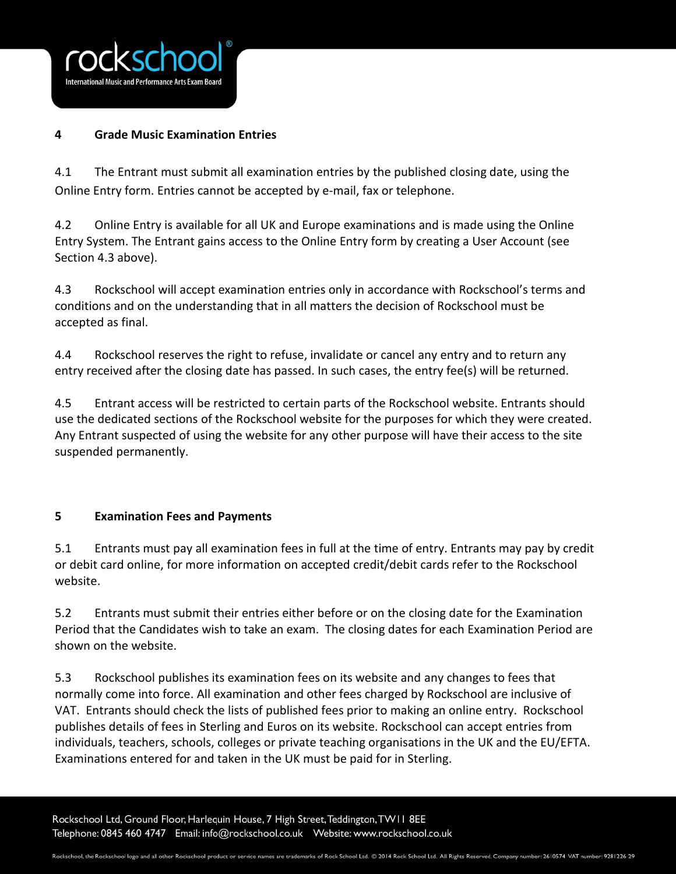

## **4 Grade Music Examination Entries**

4.1 The Entrant must submit all examination entries by the published closing date, using the Online Entry form. Entries cannot be accepted by e-mail, fax or telephone.

4.2 Online Entry is available for all UK and Europe examinations and is made using the Online Entry System. The Entrant gains access to the Online Entry form by creating a User Account (see Section 4.3 above).

4.3 Rockschool will accept examination entries only in accordance with Rockschool's terms and conditions and on the understanding that in all matters the decision of Rockschool must be accepted as final.

4.4 Rockschool reserves the right to refuse, invalidate or cancel any entry and to return any entry received after the closing date has passed. In such cases, the entry fee(s) will be returned.

4.5 Entrant access will be restricted to certain parts of the Rockschool website. Entrants should use the dedicated sections of the Rockschool website for the purposes for which they were created. Any Entrant suspected of using the website for any other purpose will have their access to the site suspended permanently.

# **5 Examination Fees and Payments**

5.1 Entrants must pay all examination fees in full at the time of entry. Entrants may pay by credit or debit card online, for more information on accepted credit/debit cards refer to the Rockschool website.

5.2 Entrants must submit their entries either before or on the closing date for the Examination Period that the Candidates wish to take an exam. The closing dates for each Examination Period are shown on the website.

5.3 Rockschool publishes its examination fees on its website and any changes to fees that normally come into force. All examination and other fees charged by Rockschool are inclusive of VAT. Entrants should check the lists of published fees prior to making an online entry. Rockschool publishes details of fees in Sterling and Euros on its website. Rockschool can accept entries from individuals, teachers, schools, colleges or private teaching organisations in the UK and the EU/EFTA. Examinations entered for and taken in the UK must be paid for in Sterling.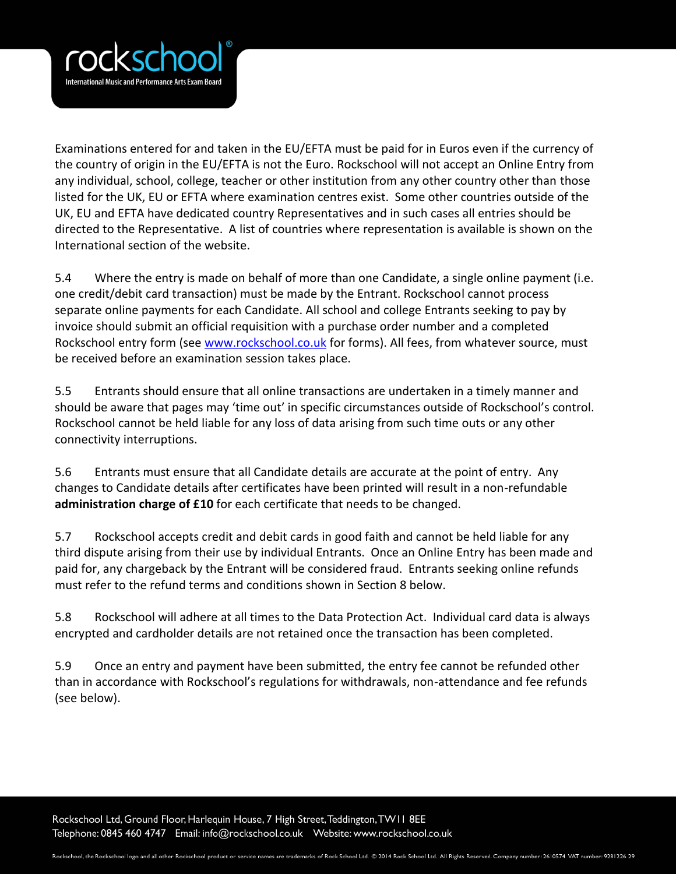

Examinations entered for and taken in the EU/EFTA must be paid for in Euros even if the currency of the country of origin in the EU/EFTA is not the Euro. Rockschool will not accept an Online Entry from any individual, school, college, teacher or other institution from any other country other than those listed for the UK, EU or EFTA where examination centres exist. Some other countries outside of the UK, EU and EFTA have dedicated country Representatives and in such cases all entries should be directed to the Representative. A list of countries where representation is available is shown on the International section of the website.

5.4 Where the entry is made on behalf of more than one Candidate, a single online payment (i.e. one credit/debit card transaction) must be made by the Entrant. Rockschool cannot process separate online payments for each Candidate. All school and college Entrants seeking to pay by invoice should submit an official requisition with a purchase order number and a completed Rockschool entry form (see [www.rockschool.co.uk](http://www.rockschool.co.uk/) for forms). All fees, from whatever source, must be received before an examination session takes place.

5.5 Entrants should ensure that all online transactions are undertaken in a timely manner and should be aware that pages may 'time out' in specific circumstances outside of Rockschool's control. Rockschool cannot be held liable for any loss of data arising from such time outs or any other connectivity interruptions.

5.6 Entrants must ensure that all Candidate details are accurate at the point of entry. Any changes to Candidate details after certificates have been printed will result in a non-refundable **administration charge of £10** for each certificate that needs to be changed.

5.7 Rockschool accepts credit and debit cards in good faith and cannot be held liable for any third dispute arising from their use by individual Entrants. Once an Online Entry has been made and paid for, any chargeback by the Entrant will be considered fraud. Entrants seeking online refunds must refer to the refund terms and conditions shown in Section 8 below.

5.8 Rockschool will adhere at all times to the Data Protection Act. Individual card data is always encrypted and cardholder details are not retained once the transaction has been completed.

5.9 Once an entry and payment have been submitted, the entry fee cannot be refunded other than in accordance with Rockschool's regulations for withdrawals, non-attendance and fee refunds (see below).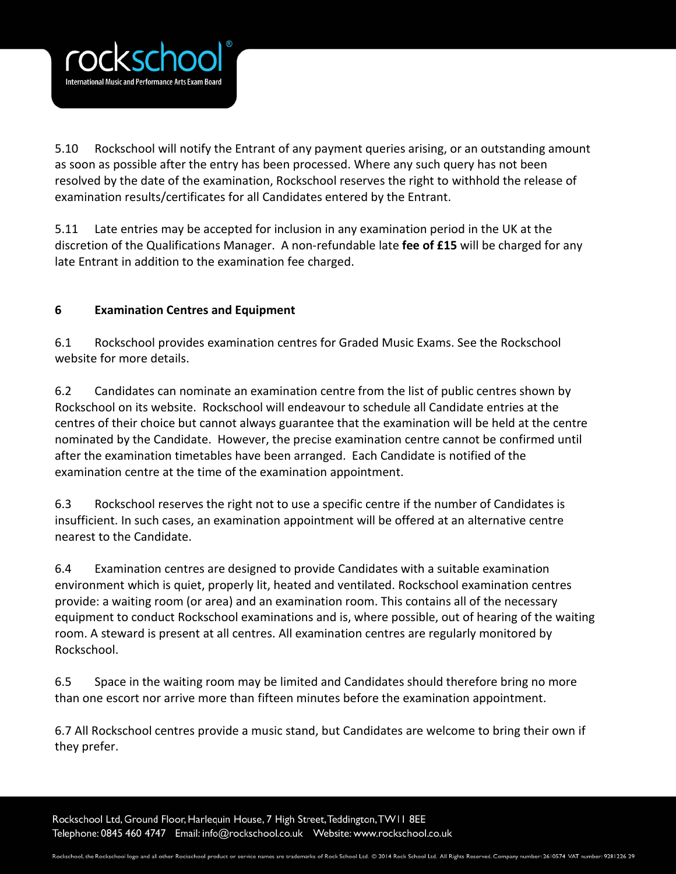

5.10 Rockschool will notify the Entrant of any payment queries arising, or an outstanding amount as soon as possible after the entry has been processed. Where any such query has not been resolved by the date of the examination, Rockschool reserves the right to withhold the release of examination results/certificates for all Candidates entered by the Entrant.

5.11 Late entries may be accepted for inclusion in any examination period in the UK at the discretion of the Qualifications Manager. A non-refundable late **fee of £15** will be charged for any late Entrant in addition to the examination fee charged.

# **6 Examination Centres and Equipment**

6.1 Rockschool provides examination centres for Graded Music Exams. See the Rockschool website for more details.

6.2 Candidates can nominate an examination centre from the list of public centres shown by Rockschool on its website. Rockschool will endeavour to schedule all Candidate entries at the centres of their choice but cannot always guarantee that the examination will be held at the centre nominated by the Candidate. However, the precise examination centre cannot be confirmed until after the examination timetables have been arranged. Each Candidate is notified of the examination centre at the time of the examination appointment.

6.3 Rockschool reserves the right not to use a specific centre if the number of Candidates is insufficient. In such cases, an examination appointment will be offered at an alternative centre nearest to the Candidate.

6.4 Examination centres are designed to provide Candidates with a suitable examination environment which is quiet, properly lit, heated and ventilated. Rockschool examination centres provide: a waiting room (or area) and an examination room. This contains all of the necessary equipment to conduct Rockschool examinations and is, where possible, out of hearing of the waiting room. A steward is present at all centres. All examination centres are regularly monitored by Rockschool.

6.5 Space in the waiting room may be limited and Candidates should therefore bring no more than one escort nor arrive more than fifteen minutes before the examination appointment.

6.7 All Rockschool centres provide a music stand, but Candidates are welcome to bring their own if they prefer.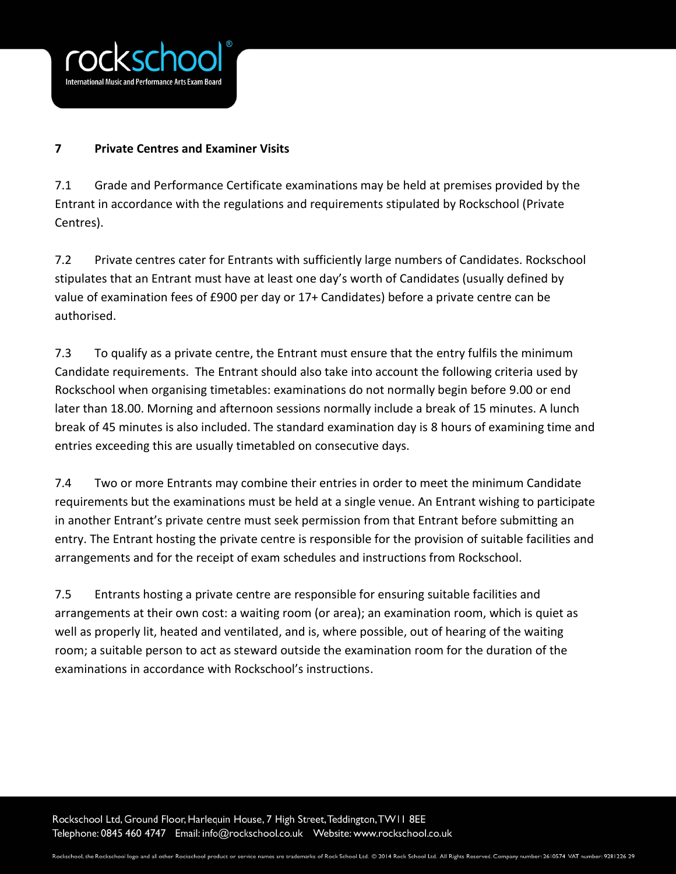

# **7 Private Centres and Examiner Visits**

7.1 Grade and Performance Certificate examinations may be held at premises provided by the Entrant in accordance with the regulations and requirements stipulated by Rockschool (Private Centres).

7.2 Private centres cater for Entrants with sufficiently large numbers of Candidates. Rockschool stipulates that an Entrant must have at least one day's worth of Candidates (usually defined by value of examination fees of £900 per day or 17+ Candidates) before a private centre can be authorised.

7.3 To qualify as a private centre, the Entrant must ensure that the entry fulfils the minimum Candidate requirements. The Entrant should also take into account the following criteria used by Rockschool when organising timetables: examinations do not normally begin before 9.00 or end later than 18.00. Morning and afternoon sessions normally include a break of 15 minutes. A lunch break of 45 minutes is also included. The standard examination day is 8 hours of examining time and entries exceeding this are usually timetabled on consecutive days.

7.4 Two or more Entrants may combine their entries in order to meet the minimum Candidate requirements but the examinations must be held at a single venue. An Entrant wishing to participate in another Entrant's private centre must seek permission from that Entrant before submitting an entry. The Entrant hosting the private centre is responsible for the provision of suitable facilities and arrangements and for the receipt of exam schedules and instructions from Rockschool.

7.5 Entrants hosting a private centre are responsible for ensuring suitable facilities and arrangements at their own cost: a waiting room (or area); an examination room, which is quiet as well as properly lit, heated and ventilated, and is, where possible, out of hearing of the waiting room; a suitable person to act as steward outside the examination room for the duration of the examinations in accordance with Rockschool's instructions.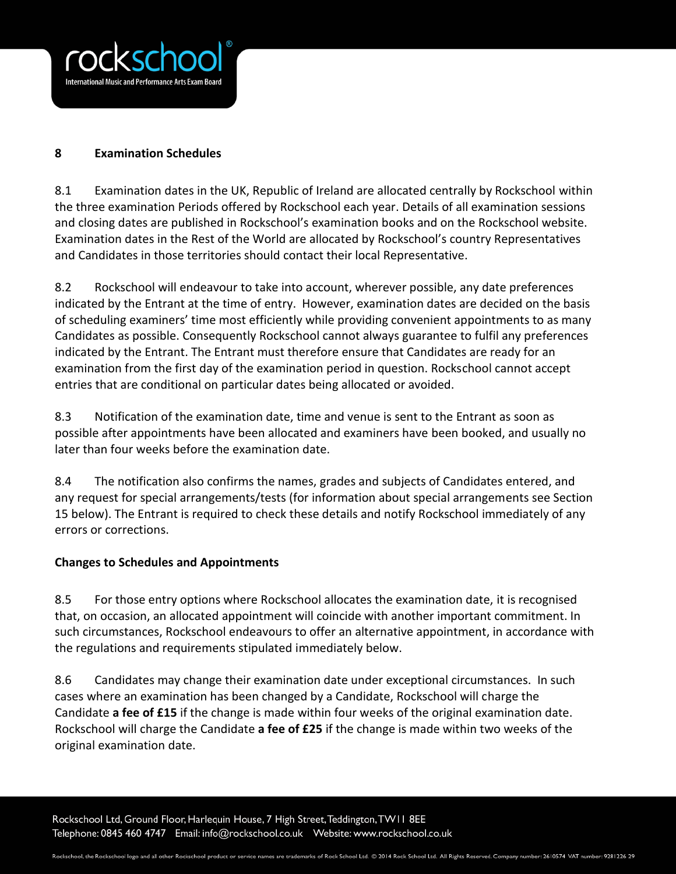

#### **8 Examination Schedules**

8.1 Examination dates in the UK, Republic of Ireland are allocated centrally by Rockschool within the three examination Periods offered by Rockschool each year. Details of all examination sessions and closing dates are published in Rockschool's examination books and on the Rockschool website. Examination dates in the Rest of the World are allocated by Rockschool's country Representatives and Candidates in those territories should contact their local Representative.

8.2 Rockschool will endeavour to take into account, wherever possible, any date preferences indicated by the Entrant at the time of entry. However, examination dates are decided on the basis of scheduling examiners' time most efficiently while providing convenient appointments to as many Candidates as possible. Consequently Rockschool cannot always guarantee to fulfil any preferences indicated by the Entrant. The Entrant must therefore ensure that Candidates are ready for an examination from the first day of the examination period in question. Rockschool cannot accept entries that are conditional on particular dates being allocated or avoided.

8.3 Notification of the examination date, time and venue is sent to the Entrant as soon as possible after appointments have been allocated and examiners have been booked, and usually no later than four weeks before the examination date.

8.4 The notification also confirms the names, grades and subjects of Candidates entered, and any request for special arrangements/tests (for information about special arrangements see Section 15 below). The Entrant is required to check these details and notify Rockschool immediately of any errors or corrections.

## **Changes to Schedules and Appointments**

8.5 For those entry options where Rockschool allocates the examination date, it is recognised that, on occasion, an allocated appointment will coincide with another important commitment. In such circumstances, Rockschool endeavours to offer an alternative appointment, in accordance with the regulations and requirements stipulated immediately below.

8.6 Candidates may change their examination date under exceptional circumstances. In such cases where an examination has been changed by a Candidate, Rockschool will charge the Candidate **a fee of £15** if the change is made within four weeks of the original examination date. Rockschool will charge the Candidate **a fee of £25** if the change is made within two weeks of the original examination date.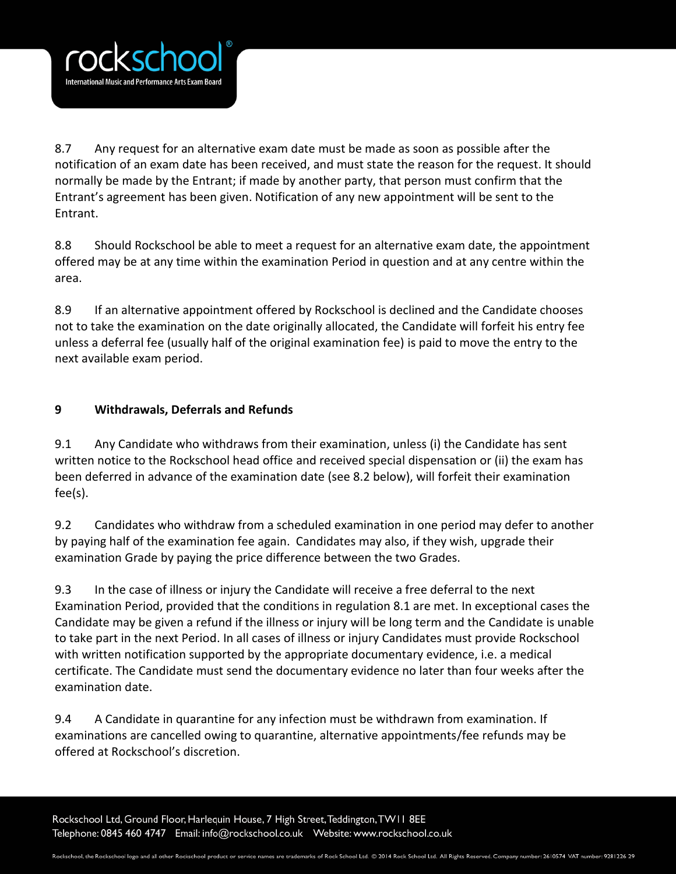

8.7 Any request for an alternative exam date must be made as soon as possible after the notification of an exam date has been received, and must state the reason for the request. It should normally be made by the Entrant; if made by another party, that person must confirm that the Entrant's agreement has been given. Notification of any new appointment will be sent to the Entrant.

8.8 Should Rockschool be able to meet a request for an alternative exam date, the appointment offered may be at any time within the examination Period in question and at any centre within the area.

8.9 If an alternative appointment offered by Rockschool is declined and the Candidate chooses not to take the examination on the date originally allocated, the Candidate will forfeit his entry fee unless a deferral fee (usually half of the original examination fee) is paid to move the entry to the next available exam period.

# **9 Withdrawals, Deferrals and Refunds**

9.1 Any Candidate who withdraws from their examination, unless (i) the Candidate has sent written notice to the Rockschool head office and received special dispensation or (ii) the exam has been deferred in advance of the examination date (see 8.2 below), will forfeit their examination fee(s).

9.2 Candidates who withdraw from a scheduled examination in one period may defer to another by paying half of the examination fee again. Candidates may also, if they wish, upgrade their examination Grade by paying the price difference between the two Grades.

9.3 In the case of illness or injury the Candidate will receive a free deferral to the next Examination Period, provided that the conditions in regulation 8.1 are met. In exceptional cases the Candidate may be given a refund if the illness or injury will be long term and the Candidate is unable to take part in the next Period. In all cases of illness or injury Candidates must provide Rockschool with written notification supported by the appropriate documentary evidence, i.e. a medical certificate. The Candidate must send the documentary evidence no later than four weeks after the examination date.

9.4 A Candidate in quarantine for any infection must be withdrawn from examination. If examinations are cancelled owing to quarantine, alternative appointments/fee refunds may be offered at Rockschool's discretion.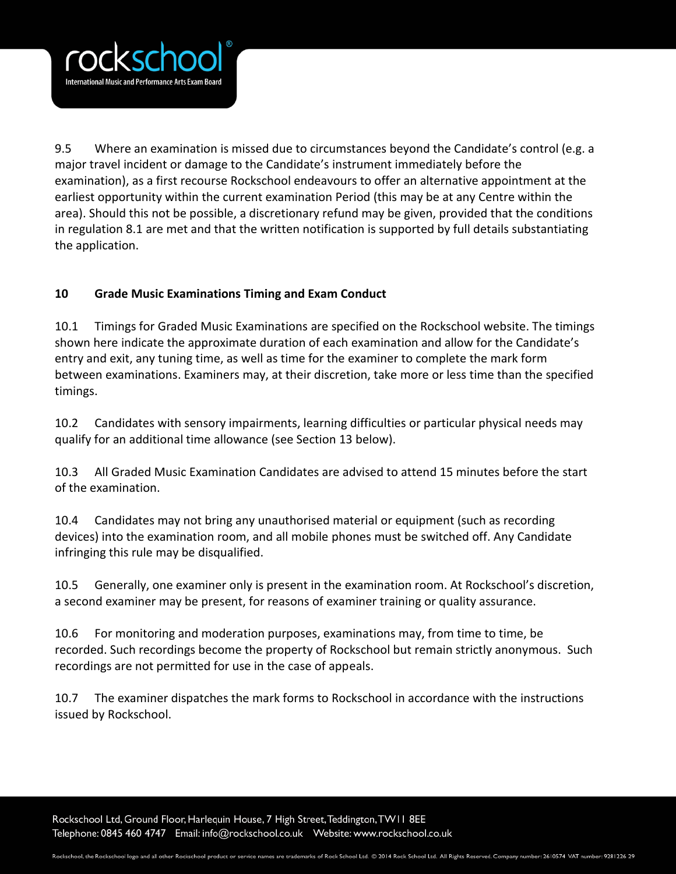

9.5 Where an examination is missed due to circumstances beyond the Candidate's control (e.g. a major travel incident or damage to the Candidate's instrument immediately before the examination), as a first recourse Rockschool endeavours to offer an alternative appointment at the earliest opportunity within the current examination Period (this may be at any Centre within the area). Should this not be possible, a discretionary refund may be given, provided that the conditions in regulation 8.1 are met and that the written notification is supported by full details substantiating the application.

# **10 Grade Music Examinations Timing and Exam Conduct**

10.1 Timings for Graded Music Examinations are specified on the Rockschool website. The timings shown here indicate the approximate duration of each examination and allow for the Candidate's entry and exit, any tuning time, as well as time for the examiner to complete the mark form between examinations. Examiners may, at their discretion, take more or less time than the specified timings.

10.2 Candidates with sensory impairments, learning difficulties or particular physical needs may qualify for an additional time allowance (see Section 13 below).

10.3 All Graded Music Examination Candidates are advised to attend 15 minutes before the start of the examination.

10.4 Candidates may not bring any unauthorised material or equipment (such as recording devices) into the examination room, and all mobile phones must be switched off. Any Candidate infringing this rule may be disqualified.

10.5 Generally, one examiner only is present in the examination room. At Rockschool's discretion, a second examiner may be present, for reasons of examiner training or quality assurance.

10.6 For monitoring and moderation purposes, examinations may, from time to time, be recorded. Such recordings become the property of Rockschool but remain strictly anonymous. Such recordings are not permitted for use in the case of appeals.

10.7 The examiner dispatches the mark forms to Rockschool in accordance with the instructions issued by Rockschool.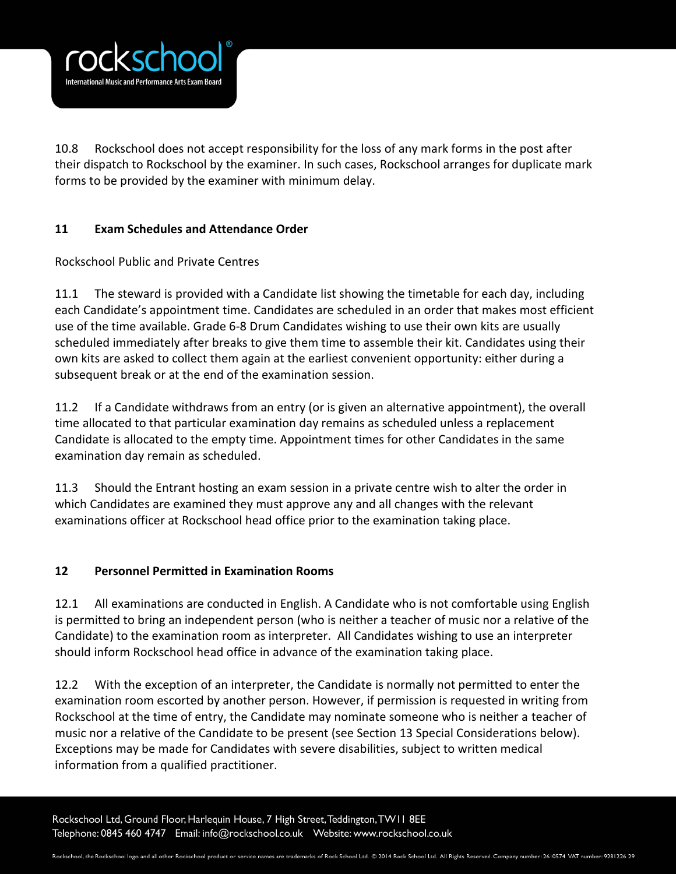

10.8 Rockschool does not accept responsibility for the loss of any mark forms in the post after their dispatch to Rockschool by the examiner. In such cases, Rockschool arranges for duplicate mark forms to be provided by the examiner with minimum delay.

# **11 Exam Schedules and Attendance Order**

Rockschool Public and Private Centres

11.1 The steward is provided with a Candidate list showing the timetable for each day, including each Candidate's appointment time. Candidates are scheduled in an order that makes most efficient use of the time available. Grade 6-8 Drum Candidates wishing to use their own kits are usually scheduled immediately after breaks to give them time to assemble their kit. Candidates using their own kits are asked to collect them again at the earliest convenient opportunity: either during a subsequent break or at the end of the examination session.

11.2 If a Candidate withdraws from an entry (or is given an alternative appointment), the overall time allocated to that particular examination day remains as scheduled unless a replacement Candidate is allocated to the empty time. Appointment times for other Candidates in the same examination day remain as scheduled.

11.3 Should the Entrant hosting an exam session in a private centre wish to alter the order in which Candidates are examined they must approve any and all changes with the relevant examinations officer at Rockschool head office prior to the examination taking place.

## **12 Personnel Permitted in Examination Rooms**

12.1 All examinations are conducted in English. A Candidate who is not comfortable using English is permitted to bring an independent person (who is neither a teacher of music nor a relative of the Candidate) to the examination room as interpreter. All Candidates wishing to use an interpreter should inform Rockschool head office in advance of the examination taking place.

12.2 With the exception of an interpreter, the Candidate is normally not permitted to enter the examination room escorted by another person. However, if permission is requested in writing from Rockschool at the time of entry, the Candidate may nominate someone who is neither a teacher of music nor a relative of the Candidate to be present (see Section 13 Special Considerations below). Exceptions may be made for Candidates with severe disabilities, subject to written medical information from a qualified practitioner.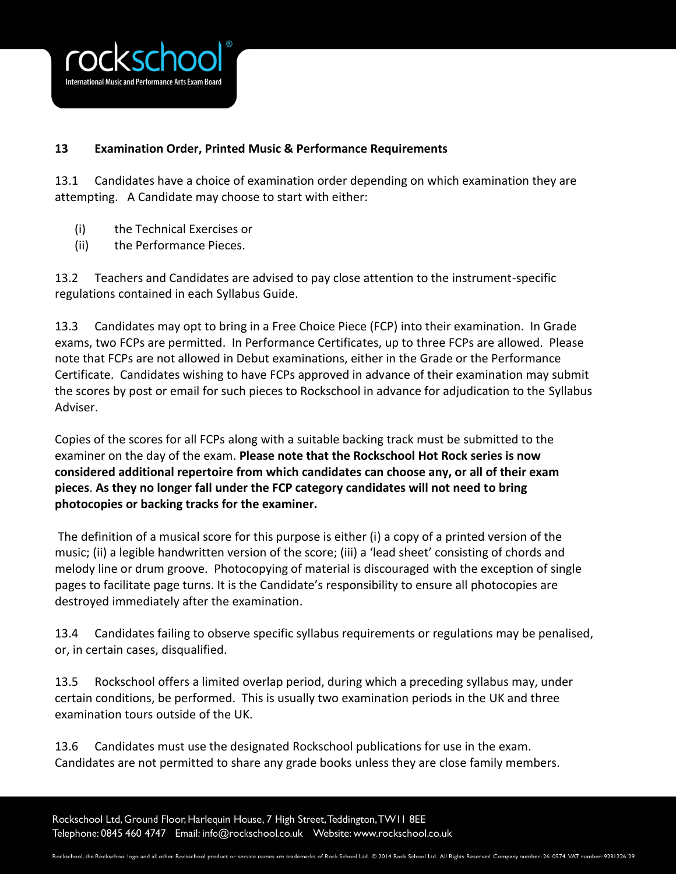

# **13 Examination Order, Printed Music & Performance Requirements**

13.1 Candidates have a choice of examination order depending on which examination they are attempting. A Candidate may choose to start with either:

- (i) the Technical Exercises or
- (ii) the Performance Pieces.

13.2 Teachers and Candidates are advised to pay close attention to the instrument-specific regulations contained in each Syllabus Guide.

13.3 Candidates may opt to bring in a Free Choice Piece (FCP) into their examination. In Grade exams, two FCPs are permitted. In Performance Certificates, up to three FCPs are allowed. Please note that FCPs are not allowed in Debut examinations, either in the Grade or the Performance Certificate. Candidates wishing to have FCPs approved in advance of their examination may submit the scores by post or email for such pieces to Rockschool in advance for adjudication to the Syllabus Adviser.

Copies of the scores for all FCPs along with a suitable backing track must be submitted to the examiner on the day of the exam. **Please note that the Rockschool Hot Rock series is now considered additional repertoire from which candidates can choose any, or all of their exam pieces**. **As they no longer fall under the FCP category candidates will not need to bring photocopies or backing tracks for the examiner.**

The definition of a musical score for this purpose is either (i) a copy of a printed version of the music; (ii) a legible handwritten version of the score; (iii) a 'lead sheet' consisting of chords and melody line or drum groove. Photocopying of material is discouraged with the exception of single pages to facilitate page turns. It is the Candidate's responsibility to ensure all photocopies are destroyed immediately after the examination.

13.4 Candidates failing to observe specific syllabus requirements or regulations may be penalised, or, in certain cases, disqualified.

13.5 Rockschool offers a limited overlap period, during which a preceding syllabus may, under certain conditions, be performed. This is usually two examination periods in the UK and three examination tours outside of the UK.

13.6 Candidates must use the designated Rockschool publications for use in the exam. Candidates are not permitted to share any grade books unless they are close family members.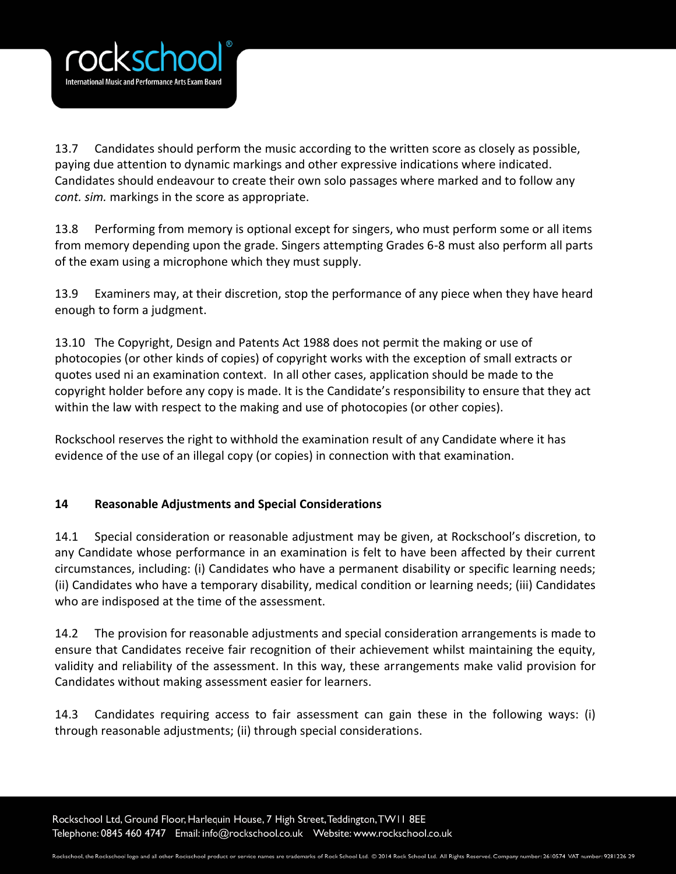

13.7 Candidates should perform the music according to the written score as closely as possible, paying due attention to dynamic markings and other expressive indications where indicated. Candidates should endeavour to create their own solo passages where marked and to follow any *cont. sim.* markings in the score as appropriate.

13.8 Performing from memory is optional except for singers, who must perform some or all items from memory depending upon the grade. Singers attempting Grades 6-8 must also perform all parts of the exam using a microphone which they must supply.

13.9 Examiners may, at their discretion, stop the performance of any piece when they have heard enough to form a judgment.

13.10 The Copyright, Design and Patents Act 1988 does not permit the making or use of photocopies (or other kinds of copies) of copyright works with the exception of small extracts or quotes used ni an examination context. In all other cases, application should be made to the copyright holder before any copy is made. It is the Candidate's responsibility to ensure that they act within the law with respect to the making and use of photocopies (or other copies).

Rockschool reserves the right to withhold the examination result of any Candidate where it has evidence of the use of an illegal copy (or copies) in connection with that examination.

# **14 Reasonable Adjustments and Special Considerations**

14.1 Special consideration or reasonable adjustment may be given, at Rockschool's discretion, to any Candidate whose performance in an examination is felt to have been affected by their current circumstances, including: (i) Candidates who have a permanent disability or specific learning needs; (ii) Candidates who have a temporary disability, medical condition or learning needs; (iii) Candidates who are indisposed at the time of the assessment.

14.2 The provision for reasonable adjustments and special consideration arrangements is made to ensure that Candidates receive fair recognition of their achievement whilst maintaining the equity, validity and reliability of the assessment. In this way, these arrangements make valid provision for Candidates without making assessment easier for learners.

14.3 Candidates requiring access to fair assessment can gain these in the following ways: (i) through reasonable adjustments; (ii) through special considerations.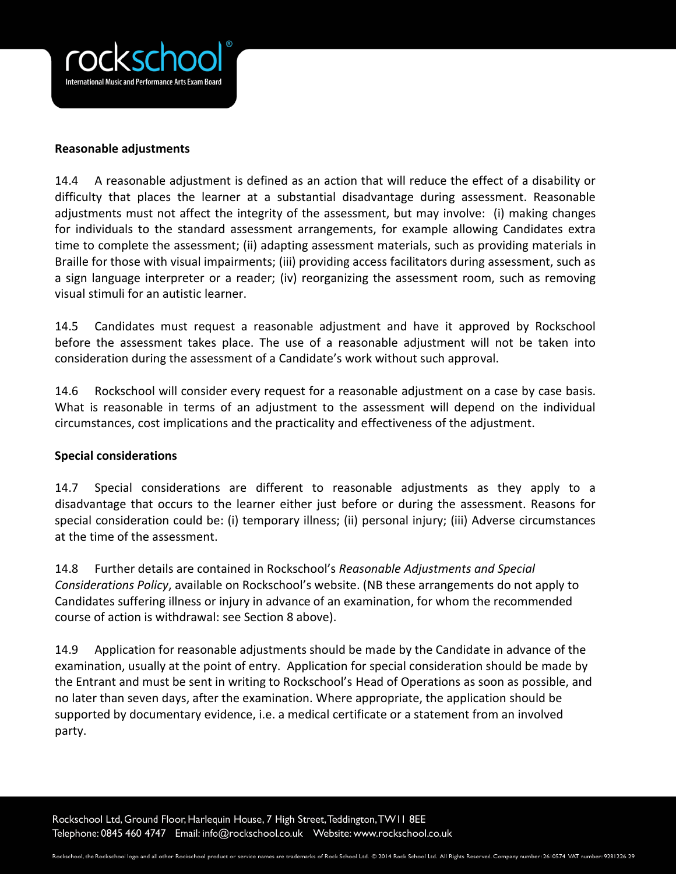

#### **Reasonable adjustments**

14.4 A reasonable adjustment is defined as an action that will reduce the effect of a disability or difficulty that places the learner at a substantial disadvantage during assessment. Reasonable adjustments must not affect the integrity of the assessment, but may involve: (i) making changes for individuals to the standard assessment arrangements, for example allowing Candidates extra time to complete the assessment; (ii) adapting assessment materials, such as providing materials in Braille for those with visual impairments; (iii) providing access facilitators during assessment, such as a sign language interpreter or a reader; (iv) reorganizing the assessment room, such as removing visual stimuli for an autistic learner.

14.5 Candidates must request a reasonable adjustment and have it approved by Rockschool before the assessment takes place. The use of a reasonable adjustment will not be taken into consideration during the assessment of a Candidate's work without such approval.

14.6 Rockschool will consider every request for a reasonable adjustment on a case by case basis. What is reasonable in terms of an adjustment to the assessment will depend on the individual circumstances, cost implications and the practicality and effectiveness of the adjustment.

## **Special considerations**

14.7 Special considerations are different to reasonable adjustments as they apply to a disadvantage that occurs to the learner either just before or during the assessment. Reasons for special consideration could be: (i) temporary illness; (ii) personal injury; (iii) Adverse circumstances at the time of the assessment.

14.8 Further details are contained in Rockschool's *Reasonable Adjustments and Special Considerations Policy*, available on Rockschool's website. (NB these arrangements do not apply to Candidates suffering illness or injury in advance of an examination, for whom the recommended course of action is withdrawal: see Section 8 above).

14.9 Application for reasonable adjustments should be made by the Candidate in advance of the examination, usually at the point of entry. Application for special consideration should be made by the Entrant and must be sent in writing to Rockschool's Head of Operations as soon as possible, and no later than seven days, after the examination. Where appropriate, the application should be supported by documentary evidence, i.e. a medical certificate or a statement from an involved party.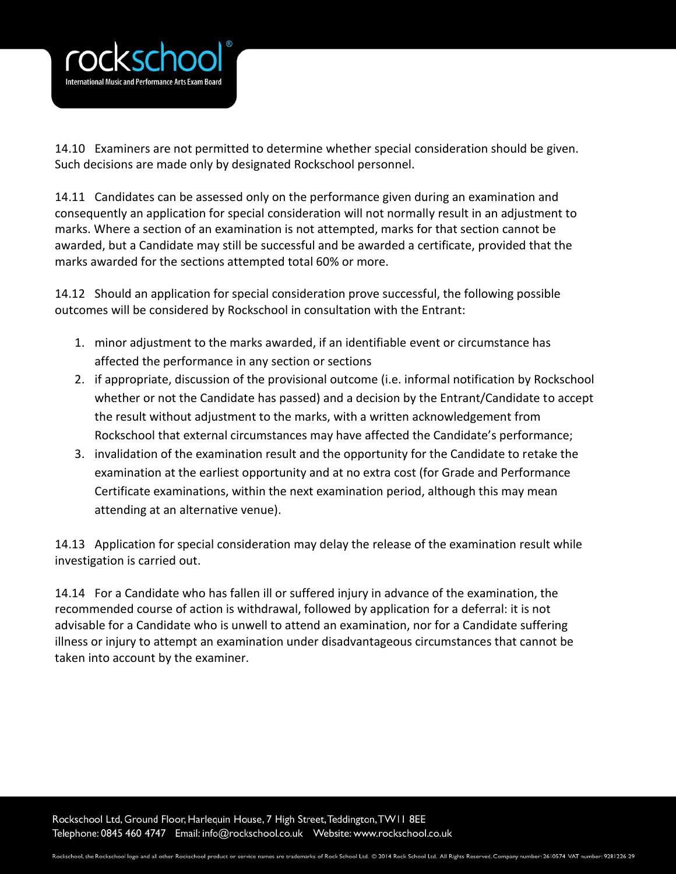

14.10 Examiners are not permitted to determine whether special consideration should be given. Such decisions are made only by designated Rockschool personnel.

14.11 Candidates can be assessed only on the performance given during an examination and consequently an application for special consideration will not normally result in an adjustment to marks. Where a section of an examination is not attempted, marks for that section cannot be awarded, but a Candidate may still be successful and be awarded a certificate, provided that the marks awarded for the sections attempted total 60% or more.

14.12 Should an application for special consideration prove successful, the following possible outcomes will be considered by Rockschool in consultation with the Entrant:

- 1. minor adjustment to the marks awarded, if an identifiable event or circumstance has affected the performance in any section or sections
- 2. if appropriate, discussion of the provisional outcome (i.e. informal notification by Rockschool whether or not the Candidate has passed) and a decision by the Entrant/Candidate to accept the result without adjustment to the marks, with a written acknowledgement from Rockschool that external circumstances may have affected the Candidate's performance;
- 3. invalidation of the examination result and the opportunity for the Candidate to retake the examination at the earliest opportunity and at no extra cost (for Grade and Performance Certificate examinations, within the next examination period, although this may mean attending at an alternative venue).

14.13 Application for special consideration may delay the release of the examination result while investigation is carried out.

14.14 For a Candidate who has fallen ill or suffered injury in advance of the examination, the recommended course of action is withdrawal, followed by application for a deferral: it is not advisable for a Candidate who is unwell to attend an examination, nor for a Candidate suffering illness or injury to attempt an examination under disadvantageous circumstances that cannot be taken into account by the examiner.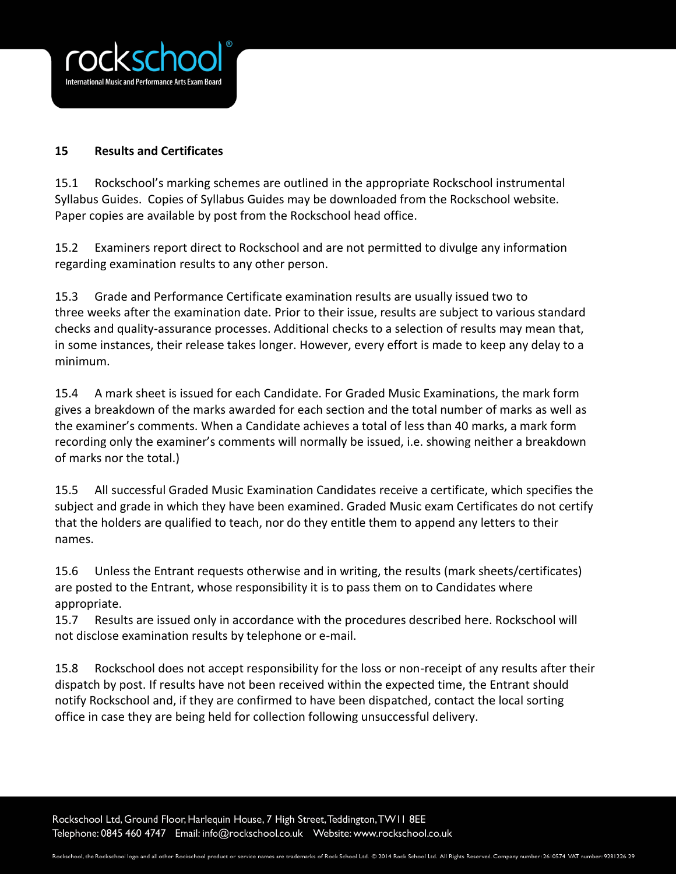

## **15 Results and Certificates**

15.1 Rockschool's marking schemes are outlined in the appropriate Rockschool instrumental Syllabus Guides. Copies of Syllabus Guides may be downloaded from the Rockschool website. Paper copies are available by post from the Rockschool head office.

15.2 Examiners report direct to Rockschool and are not permitted to divulge any information regarding examination results to any other person.

15.3 Grade and Performance Certificate examination results are usually issued two to three weeks after the examination date. Prior to their issue, results are subject to various standard checks and quality-assurance processes. Additional checks to a selection of results may mean that, in some instances, their release takes longer. However, every effort is made to keep any delay to a minimum.

15.4 A mark sheet is issued for each Candidate. For Graded Music Examinations, the mark form gives a breakdown of the marks awarded for each section and the total number of marks as well as the examiner's comments. When a Candidate achieves a total of less than 40 marks, a mark form recording only the examiner's comments will normally be issued, i.e. showing neither a breakdown of marks nor the total.)

15.5 All successful Graded Music Examination Candidates receive a certificate, which specifies the subject and grade in which they have been examined. Graded Music exam Certificates do not certify that the holders are qualified to teach, nor do they entitle them to append any letters to their names.

15.6 Unless the Entrant requests otherwise and in writing, the results (mark sheets/certificates) are posted to the Entrant, whose responsibility it is to pass them on to Candidates where appropriate.

15.7 Results are issued only in accordance with the procedures described here. Rockschool will not disclose examination results by telephone or e-mail.

15.8 Rockschool does not accept responsibility for the loss or non-receipt of any results after their dispatch by post. If results have not been received within the expected time, the Entrant should notify Rockschool and, if they are confirmed to have been dispatched, contact the local sorting office in case they are being held for collection following unsuccessful delivery.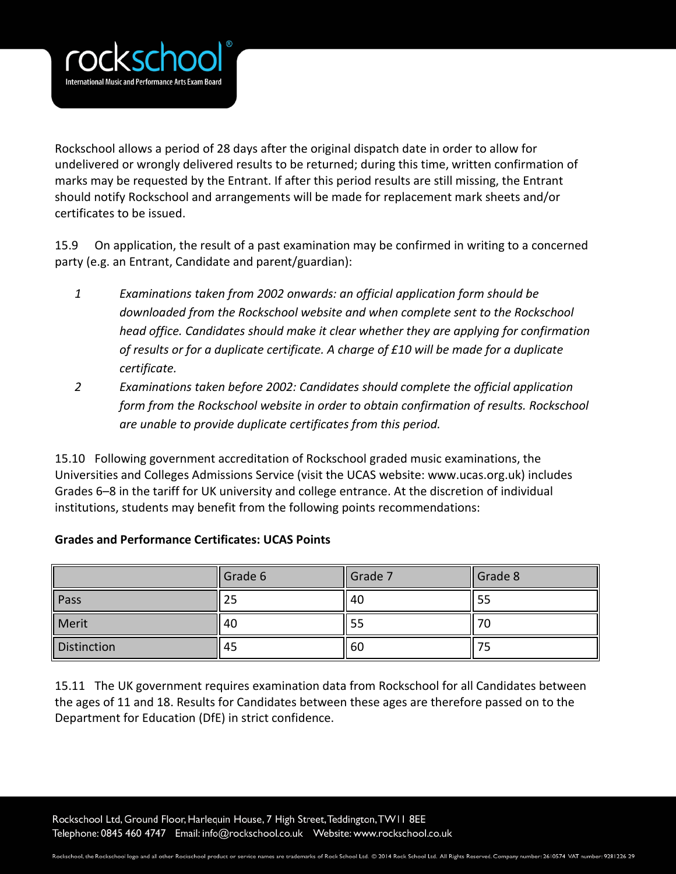

Rockschool allows a period of 28 days after the original dispatch date in order to allow for undelivered or wrongly delivered results to be returned; during this time, written confirmation of marks may be requested by the Entrant. If after this period results are still missing, the Entrant should notify Rockschool and arrangements will be made for replacement mark sheets and/or certificates to be issued.

15.9 On application, the result of a past examination may be confirmed in writing to a concerned party (e.g. an Entrant, Candidate and parent/guardian):

- *1 Examinations taken from 2002 onwards: an official application form should be downloaded from the Rockschool website and when complete sent to the Rockschool head office. Candidates should make it clear whether they are applying for confirmation of results or for a duplicate certificate. A charge of £10 will be made for a duplicate certificate.*
- *2 Examinations taken before 2002: Candidates should complete the official application form from the Rockschool website in order to obtain confirmation of results. Rockschool are unable to provide duplicate certificates from this period.*

15.10 Following government accreditation of Rockschool graded music examinations, the Universities and Colleges Admissions Service (visit the UCAS website: www.ucas.org.uk) includes Grades 6–8 in the tariff for UK university and college entrance. At the discretion of individual institutions, students may benefit from the following points recommendations:

|  | <b>Grades and Performance Certificates: UCAS Points</b> |  |  |
|--|---------------------------------------------------------|--|--|
|  |                                                         |  |  |

|                    | Grade 6 | Grade 7 | Grade 8 |
|--------------------|---------|---------|---------|
| Pass               | 25      | 40      | 55      |
| Merit              | 40      | 55      | 70      |
| <b>Distinction</b> | 45      | 60      | כ י     |

15.11 The UK government requires examination data from Rockschool for all Candidates between the ages of 11 and 18. Results for Candidates between these ages are therefore passed on to the Department for Education (DfE) in strict confidence.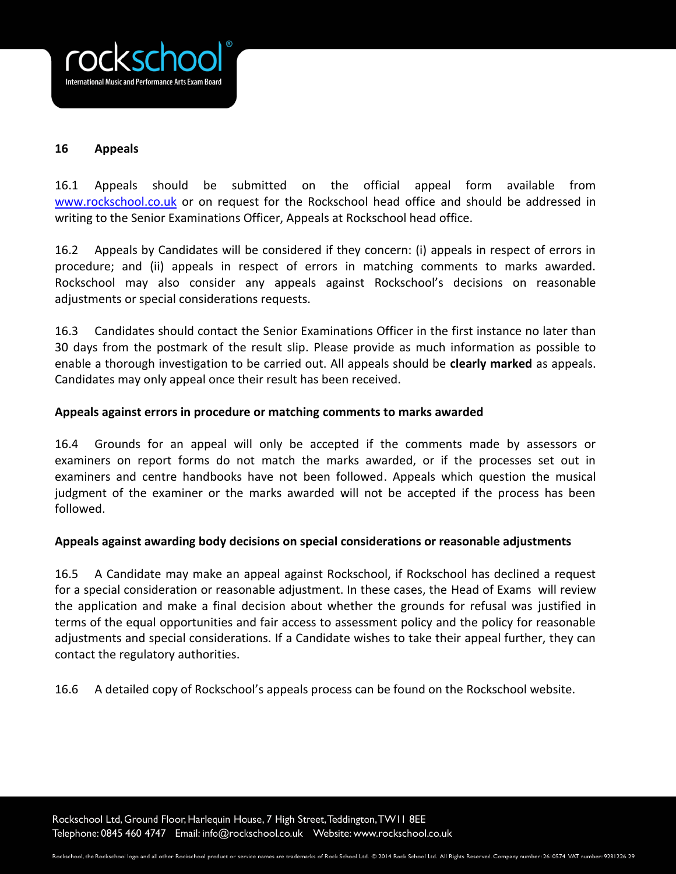

## **16 Appeals**

16.1 Appeals should be submitted on the official appeal form available from [www.rockschool.co.uk](http://www.rockschool.co.uk/) or on request for the Rockschool head office and should be addressed in writing to the Senior Examinations Officer, Appeals at Rockschool head office.

16.2 Appeals by Candidates will be considered if they concern: (i) appeals in respect of errors in procedure; and (ii) appeals in respect of errors in matching comments to marks awarded. Rockschool may also consider any appeals against Rockschool's decisions on reasonable adjustments or special considerations requests.

16.3 Candidates should contact the Senior Examinations Officer in the first instance no later than 30 days from the postmark of the result slip. Please provide as much information as possible to enable a thorough investigation to be carried out. All appeals should be **clearly marked** as appeals. Candidates may only appeal once their result has been received.

#### **Appeals against errors in procedure or matching comments to marks awarded**

16.4 Grounds for an appeal will only be accepted if the comments made by assessors or examiners on report forms do not match the marks awarded, or if the processes set out in examiners and centre handbooks have not been followed. Appeals which question the musical judgment of the examiner or the marks awarded will not be accepted if the process has been followed.

#### **Appeals against awarding body decisions on special considerations or reasonable adjustments**

16.5 A Candidate may make an appeal against Rockschool, if Rockschool has declined a request for a special consideration or reasonable adjustment. In these cases, the Head of Exams will review the application and make a final decision about whether the grounds for refusal was justified in terms of the equal opportunities and fair access to assessment policy and the policy for reasonable adjustments and special considerations. If a Candidate wishes to take their appeal further, they can contact the regulatory authorities.

16.6 A detailed copy of Rockschool's appeals process can be found on the Rockschool website.